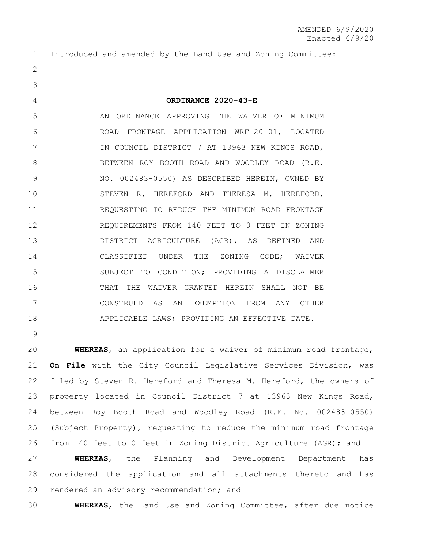Introduced and amended by the Land Use and Zoning Committee:

## **ORDINANCE 2020-43-E**

5 AN ORDINANCE APPROVING THE WAIVER OF MINIMUM ROAD FRONTAGE APPLICATION WRF-20-01, LOCATED 7 IN COUNCIL DISTRICT 7 AT 13963 NEW KINGS ROAD, 8 BETWEEN ROY BOOTH ROAD AND WOODLEY ROAD (R.E. 9 NO. 002483-0550) AS DESCRIBED HEREIN, OWNED BY 10 STEVEN R. HEREFORD AND THERESA M. HEREFORD, REQUESTING TO REDUCE THE MINIMUM ROAD FRONTAGE REQUIREMENTS FROM 140 FEET TO 0 FEET IN ZONING DISTRICT AGRICULTURE (AGR), AS DEFINED AND CLASSIFIED UNDER THE ZONING CODE; WAIVER SUBJECT TO CONDITION; PROVIDING A DISCLAIMER THAT THE WAIVER GRANTED HEREIN SHALL NOT BE CONSTRUED AS AN EXEMPTION FROM ANY OTHER 18 APPLICABLE LAWS; PROVIDING AN EFFECTIVE DATE.

 **WHEREAS**, an application for a waiver of minimum road frontage, **On File** with the City Council Legislative Services Division, was filed by Steven R. Hereford and Theresa M. Hereford, the owners of property located in Council District 7 at 13963 New Kings Road, between Roy Booth Road and Woodley Road (R.E. No. 002483-0550) (Subject Property), requesting to reduce the minimum road frontage from 140 feet to 0 feet in Zoning District Agriculture (AGR); and

 **WHEREAS**, the Planning and Development Department has considered the application and all attachments thereto and has 29 rendered an advisory recommendation; and

**WHEREAS**, the Land Use and Zoning Committee, after due notice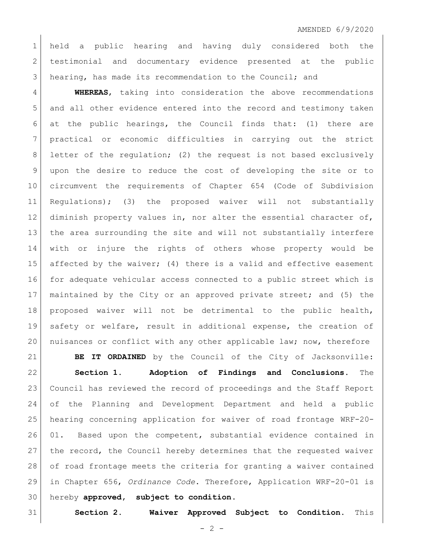## AMENDED 6/9/2020

 held a public hearing and having duly considered both the 2 testimonial and documentary evidence presented at the public hearing, has made its recommendation to the Council; and

 **WHEREAS**, taking into consideration the above recommendations and all other evidence entered into the record and testimony taken at the public hearings, the Council finds that: (1) there are practical or economic difficulties in carrying out the strict 8 letter of the regulation; (2) the request is not based exclusively upon the desire to reduce the cost of developing the site or to circumvent the requirements of Chapter 654 (Code of Subdivision Regulations); (3) the proposed waiver will not substantially 12 diminish property values in, nor alter the essential character of, the area surrounding the site and will not substantially interfere with or injure the rights of others whose property would be 15 affected by the waiver; (4) there is a valid and effective easement for adequate vehicular access connected to a public street which is maintained by the City or an approved private street; and (5) the proposed waiver will not be detrimental to the public health, safety or welfare, result in additional expense, the creation of nuisances or conflict with any other applicable law; now, therefore

**BE IT ORDAINED** by the Council of the City of Jacksonville:

 **Section 1. Adoption of Findings and Conclusions.** The Council has reviewed the record of proceedings and the Staff Report of the Planning and Development Department and held a public hearing concerning application for waiver of road frontage WRF-20- 01. Based upon the competent, substantial evidence contained in the record, the Council hereby determines that the requested waiver of road frontage meets the criteria for granting a waiver contained in Chapter 656, *Ordinance Code*. Therefore, Application WRF-20-01 is hereby **approved, subject to condition**.

**Section 2. Waiver Approved Subject to Condition.** This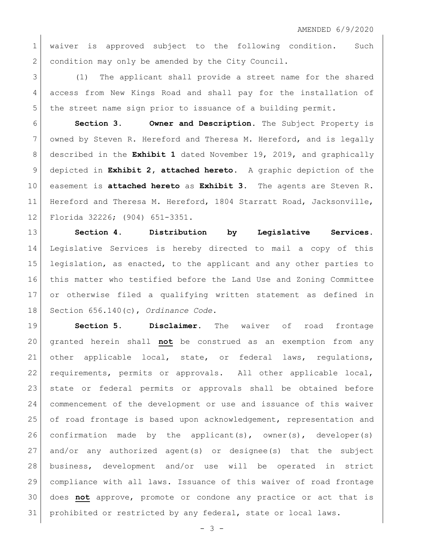1 waiver is approved subject to the following condition. Such 2 condition may only be amended by the City Council.

 (1) The applicant shall provide a street name for the shared access from New Kings Road and shall pay for the installation of the street name sign prior to issuance of a building permit.

 **Section 3. Owner and Description.** The Subject Property is 7 owned by Steven R. Hereford and Theresa M. Hereford, and is legally described in the **Exhibit 1** dated November 19, 2019, and graphically depicted in **Exhibit 2, attached hereto**. A graphic depiction of the easement is **attached hereto** as **Exhibit 3**.The agents are Steven R. Hereford and Theresa M. Hereford, 1804 Starratt Road, Jacksonville, Florida 32226; (904) 651-3351.

 **Section 4. Distribution by Legislative Services.**  Legislative Services is hereby directed to mail a copy of this legislation, as enacted, to the applicant and any other parties to this matter who testified before the Land Use and Zoning Committee or otherwise filed a qualifying written statement as defined in Section 656.140(c), *Ordinance Code*.

 **Section 5. Disclaimer.** The waiver of road frontage granted herein shall **not** be construed as an exemption from any other applicable local, state, or federal laws, regulations, requirements, permits or approvals. All other applicable local, state or federal permits or approvals shall be obtained before commencement of the development or use and issuance of this waiver of road frontage is based upon acknowledgement, representation and 26 confirmation made by the applicant(s), owner(s), developer(s) and/or any authorized agent(s) or designee(s) that the subject business, development and/or use will be operated in strict compliance with all laws. Issuance of this waiver of road frontage does **not** approve, promote or condone any practice or act that is prohibited or restricted by any federal, state or local laws.

 $- 3 -$